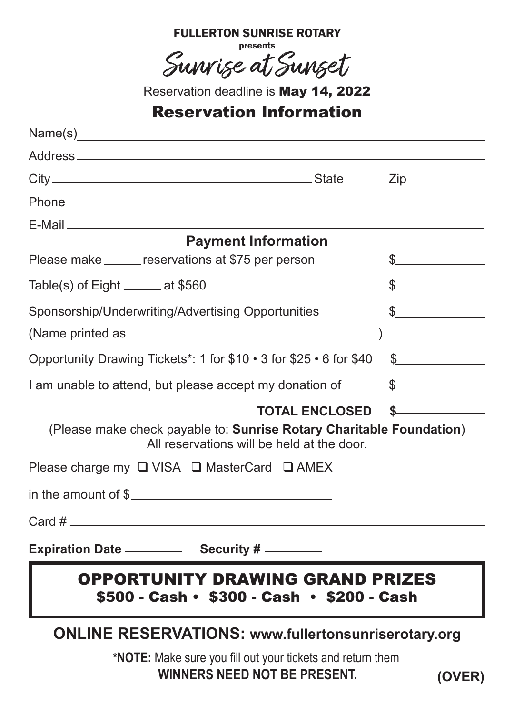| <b>FULLERION SUNRISE ROIARY</b> |
|---------------------------------|
| presents                        |
|                                 |
| Survise at Sunset               |
|                                 |

FULLERTON SUNRISE ROTARY

Reservation deadline is May 14, 2022

## Reservation Information

| <b>Payment Information</b>                                                                                                                                                                                                                                                                 |                                                                                                                                                                                                                                                                                                                                                                                                                                                               |
|--------------------------------------------------------------------------------------------------------------------------------------------------------------------------------------------------------------------------------------------------------------------------------------------|---------------------------------------------------------------------------------------------------------------------------------------------------------------------------------------------------------------------------------------------------------------------------------------------------------------------------------------------------------------------------------------------------------------------------------------------------------------|
| Please make _______ reservations at \$75 per person                                                                                                                                                                                                                                        | $\mathbb{S}$                                                                                                                                                                                                                                                                                                                                                                                                                                                  |
| Table(s) of $Eight$ _______ at \$560                                                                                                                                                                                                                                                       | $s$ and $s$                                                                                                                                                                                                                                                                                                                                                                                                                                                   |
| Sponsorship/Underwriting/Advertising Opportunities                                                                                                                                                                                                                                         | $\frac{1}{2}$                                                                                                                                                                                                                                                                                                                                                                                                                                                 |
|                                                                                                                                                                                                                                                                                            |                                                                                                                                                                                                                                                                                                                                                                                                                                                               |
| Opportunity Drawing Tickets*: 1 for \$10 . 3 for \$25 . 6 for \$40                                                                                                                                                                                                                         | $\frac{1}{2}$                                                                                                                                                                                                                                                                                                                                                                                                                                                 |
| I am unable to attend, but please accept my donation of                                                                                                                                                                                                                                    | $\sim$                                                                                                                                                                                                                                                                                                                                                                                                                                                        |
| <b>TOTAL ENCLOSED</b>                                                                                                                                                                                                                                                                      | $\label{eq:2.1} \frac{1}{\sqrt{2}}\left(\frac{1}{\sqrt{2}}\right)^{2} \left(\frac{1}{\sqrt{2}}\right)^{2} \left(\frac{1}{\sqrt{2}}\right)^{2} \left(\frac{1}{\sqrt{2}}\right)^{2} \left(\frac{1}{\sqrt{2}}\right)^{2} \left(\frac{1}{\sqrt{2}}\right)^{2} \left(\frac{1}{\sqrt{2}}\right)^{2} \left(\frac{1}{\sqrt{2}}\right)^{2} \left(\frac{1}{\sqrt{2}}\right)^{2} \left(\frac{1}{\sqrt{2}}\right)^{2} \left(\frac{1}{\sqrt{2}}\right)^{2} \left(\$<br>\$. |
| (Please make check payable to: Sunrise Rotary Charitable Foundation)<br>All reservations will be held at the door.                                                                                                                                                                         |                                                                                                                                                                                                                                                                                                                                                                                                                                                               |
| Please charge my $\Box$ VISA $\Box$ MasterCard $\Box$ AMEX                                                                                                                                                                                                                                 |                                                                                                                                                                                                                                                                                                                                                                                                                                                               |
| in the amount of $\frac{1}{2}$ and $\frac{1}{2}$ and $\frac{1}{2}$ and $\frac{1}{2}$ and $\frac{1}{2}$ and $\frac{1}{2}$ and $\frac{1}{2}$ and $\frac{1}{2}$ and $\frac{1}{2}$ and $\frac{1}{2}$ and $\frac{1}{2}$ and $\frac{1}{2}$ and $\frac{1}{2}$ and $\frac{1}{2}$ and $\frac{1}{2}$ |                                                                                                                                                                                                                                                                                                                                                                                                                                                               |
| $Card \#$                                                                                                                                                                                                                                                                                  |                                                                                                                                                                                                                                                                                                                                                                                                                                                               |
|                                                                                                                                                                                                                                                                                            |                                                                                                                                                                                                                                                                                                                                                                                                                                                               |
| <b>OPPORTUNITY DRAWING GRAND PRIZES</b><br>\$500 - Cash · \$300 - Cash · \$200 - Cash                                                                                                                                                                                                      |                                                                                                                                                                                                                                                                                                                                                                                                                                                               |
| <b>ONLINE RESERVATIONS: www.fullertonsunriserotary.org</b>                                                                                                                                                                                                                                 |                                                                                                                                                                                                                                                                                                                                                                                                                                                               |
| *NOTE: Make sure you fill out your tickets and return them<br><b>WINNERS NEED NOT BE PRESENT.</b>                                                                                                                                                                                          | (OVER)                                                                                                                                                                                                                                                                                                                                                                                                                                                        |